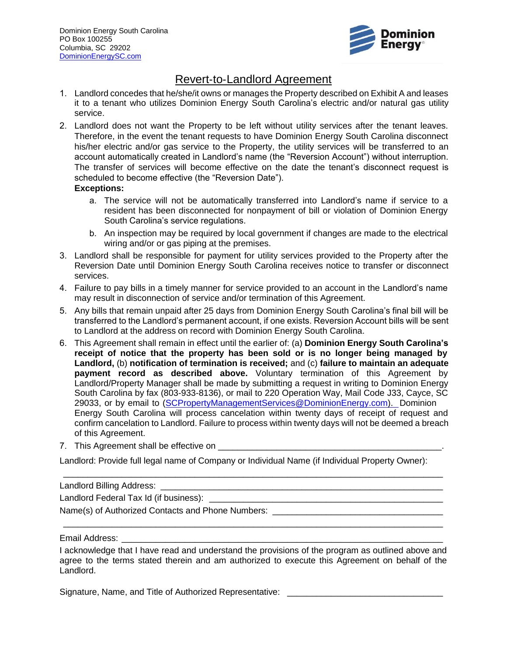

## Revert‐to‐Landlord Agreement

- 1. Landlord concedes that he/she/it owns or manages the Property described on Exhibit A and leases it to a tenant who utilizes Dominion Energy South Carolina's electric and/or natural gas utility service.
- 2. Landlord does not want the Property to be left without utility services after the tenant leaves. Therefore, in the event the tenant requests to have Dominion Energy South Carolina disconnect his/her electric and/or gas service to the Property, the utility services will be transferred to an account automatically created in Landlord's name (the "Reversion Account") without interruption. The transfer of services will become effective on the date the tenant's disconnect request is scheduled to become effective (the "Reversion Date").

## **Exceptions:**

- a. The service will not be automatically transferred into Landlord's name if service to a resident has been disconnected for nonpayment of bill or violation of Dominion Energy South Carolina's service regulations.
- b. An inspection may be required by local government if changes are made to the electrical wiring and/or or gas piping at the premises.
- 3. Landlord shall be responsible for payment for utility services provided to the Property after the Reversion Date until Dominion Energy South Carolina receives notice to transfer or disconnect services.
- 4. Failure to pay bills in a timely manner for service provided to an account in the Landlord's name may result in disconnection of service and/or termination of this Agreement.
- 5. Any bills that remain unpaid after 25 days from Dominion Energy South Carolina's final bill will be transferred to the Landlord's permanent account, if one exists. Reversion Account bills will be sent to Landlord at the address on record with Dominion Energy South Carolina.
- 6. This Agreement shall remain in effect until the earlier of: (a) **Dominion Energy South Carolina's receipt of notice that the property has been sold or is no longer being managed by Landlord,** (b) **notification of termination is received;** and (c) **failure to maintain an adequate payment record as described above.** Voluntary termination of this Agreement by Landlord/Property Manager shall be made by submitting a request in writing to Dominion Energy South Carolina by fax (803-933-8136), or mail to 220 Operation Way, Mail Code J33, Cayce, SC 29033, or by email to [\(SCPropertyManagementServices@DominionEnergy.com\).](mailto:SCPropertyManagementServices@DominionEnergy.com) Dominion Energy South Carolina will process cancelation within twenty days of receipt of request and confirm cancelation to Landlord. Failure to process within twenty days will not be deemed a breach of this Agreement.
- 7. This Agreement shall be effective on

Landlord: Provide full legal name of Company or Individual Name (if Individual Property Owner):

\_\_\_\_\_\_\_\_\_\_\_\_\_\_\_\_\_\_\_\_\_\_\_\_\_\_\_\_\_\_\_\_\_\_\_\_\_\_\_\_\_\_\_\_\_\_\_\_\_\_\_\_\_\_\_\_\_\_\_\_\_\_\_\_\_\_\_\_\_\_\_\_\_\_\_\_\_\_

Landlord Billing Address: \_\_\_\_\_\_\_\_\_\_\_\_\_\_\_\_\_\_\_\_\_\_\_\_\_\_\_\_\_\_\_\_\_\_\_\_\_\_\_\_\_\_\_\_\_\_\_\_\_\_\_\_\_\_\_\_\_\_

Landlord Federal Tax Id (if business): \_\_\_\_\_\_\_\_\_\_\_\_\_\_\_\_\_\_\_\_\_\_\_\_\_\_\_\_\_\_\_\_\_\_\_\_\_\_\_\_\_\_\_\_\_\_\_\_

Name(s) of Authorized Contacts and Phone Numbers:

Email Address:

I acknowledge that I have read and understand the provisions of the program as outlined above and agree to the terms stated therein and am authorized to execute this Agreement on behalf of the Landlord.

\_\_\_\_\_\_\_\_\_\_\_\_\_\_\_\_\_\_\_\_\_\_\_\_\_\_\_\_\_\_\_\_\_\_\_\_\_\_\_\_\_\_\_\_\_\_\_\_\_\_\_\_\_\_\_\_\_\_\_\_\_\_\_\_\_\_\_\_\_\_\_\_\_\_\_\_\_\_

Signature, Name, and Title of Authorized Representative: \_\_\_\_\_\_\_\_\_\_\_\_\_\_\_\_\_\_\_\_\_\_\_